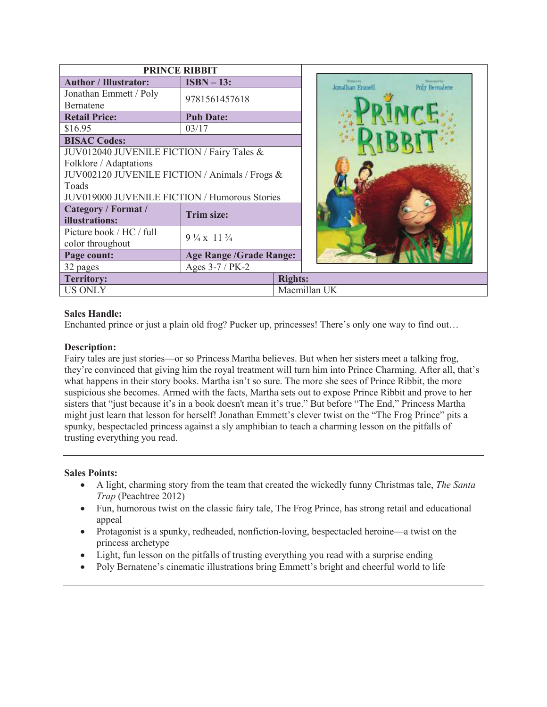|                                                | <b>PRINCE RIBBIT</b>                |                                                                                             |
|------------------------------------------------|-------------------------------------|---------------------------------------------------------------------------------------------|
| <b>Author / Illustrator:</b>                   | $ISBN - 13:$                        | <b>INVENTORY</b><br><b><i><u>Standard for</u></i></b><br>Jonathan Emmell<br>Poly Bernaters: |
| Jonathan Emmett / Poly<br><b>Bernatene</b>     | 9781561457618                       |                                                                                             |
| <b>Retail Price:</b>                           | <b>Pub Date:</b>                    |                                                                                             |
| \$16.95                                        | 03/17                               |                                                                                             |
| <b>BISAC Codes:</b>                            |                                     |                                                                                             |
| JUV012040 JUVENILE FICTION / Fairy Tales &     |                                     |                                                                                             |
| Folklore / Adaptations                         |                                     |                                                                                             |
| JUV002120 JUVENILE FICTION / Animals / Frogs & |                                     |                                                                                             |
| Toads                                          |                                     |                                                                                             |
| JUV019000 JUVENILE FICTION / Humorous Stories  |                                     |                                                                                             |
| Category / Format /<br>illustrations:          | Trim size:                          |                                                                                             |
| Picture book / HC / full<br>color throughout   | $9\frac{1}{4} \times 11\frac{3}{4}$ |                                                                                             |
| Page count:                                    | <b>Age Range /Grade Range:</b>      |                                                                                             |
| 32 pages                                       | Ages 3-7 / PK-2                     |                                                                                             |
| <b>Territory:</b>                              |                                     | <b>Rights:</b>                                                                              |
| <b>US ONLY</b>                                 |                                     | Macmillan UK                                                                                |

## **Sales Handle:**

Enchanted prince or just a plain old frog? Pucker up, princesses! There's only one way to find out…

## **Description:**

Fairy tales are just stories—or so Princess Martha believes. But when her sisters meet a talking frog, they're convinced that giving him the royal treatment will turn him into Prince Charming. After all, that's what happens in their story books. Martha isn't so sure. The more she sees of Prince Ribbit, the more suspicious she becomes. Armed with the facts, Martha sets out to expose Prince Ribbit and prove to her sisters that "just because it's in a book doesn't mean it's true." But before "The End," Princess Martha might just learn that lesson for herself! Jonathan Emmett's clever twist on the "The Frog Prince" pits a spunky, bespectacled princess against a sly amphibian to teach a charming lesson on the pitfalls of trusting everything you read.

## **Sales Points:**

- · A light, charming story from the team that created the wickedly funny Christmas tale, *The Santa Trap* (Peachtree 2012)
- · Fun, humorous twist on the classic fairy tale, The Frog Prince, has strong retail and educational appeal
- Protagonist is a spunky, redheaded, nonfiction-loving, bespectacled heroine—a twist on the princess archetype
- · Light, fun lesson on the pitfalls of trusting everything you read with a surprise ending
- · Poly Bernatene's cinematic illustrations bring Emmett's bright and cheerful world to life